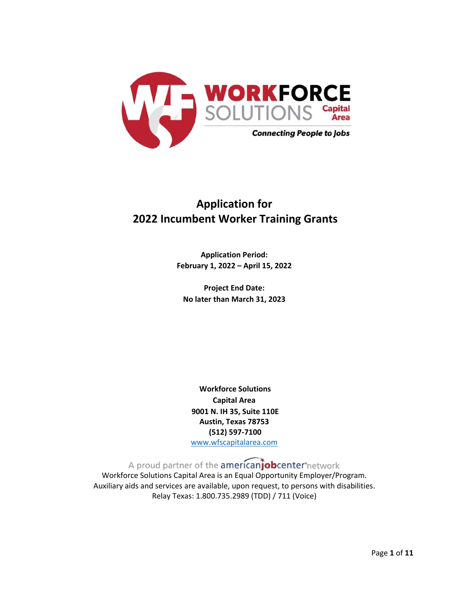

# **Application for 2022 Incumbent Worker Training Grants**

**Application Period: February 1, 2022 – April 15, 2022**

**Project End Date: No later than March 31, 2023**

**Workforce Solutions Capital Area 9001 N. IH 35, Suite 110E Austin, Texas 78753 (512) 597-7100** [www.wfscapitalarea.com](http://www.wfscapitalarea.com/)

A proud partner of the **american obcenter** network

Workforce Solutions Capital Area is an Equal Opportunity Employer/Program. Auxiliary aids and services are available, upon request, to persons with disabilities. Relay Texas: 1.800.735.2989 (TDD) / 711 (Voice)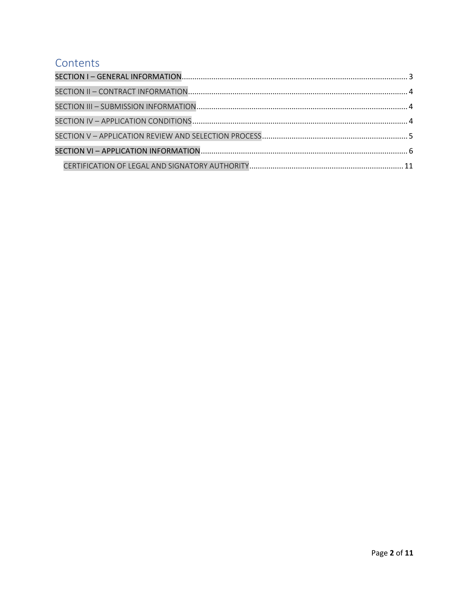# Contents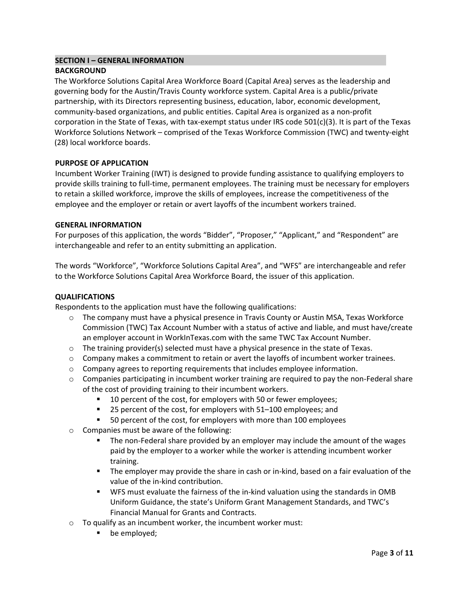#### <span id="page-2-0"></span>**SECTION I – GENERAL INFORMATION**

#### **BACKGROUND**

The Workforce Solutions Capital Area Workforce Board (Capital Area) serves as the leadership and governing body for the Austin/Travis County workforce system. Capital Area is a public/private partnership, with its Directors representing business, education, labor, economic development, community-based organizations, and public entities. Capital Area is organized as a non-profit corporation in the State of Texas, with tax-exempt status under IRS code 501(c)(3). It is part of the Texas Workforce Solutions Network – comprised of the Texas Workforce Commission (TWC) and twenty-eight (28) local workforce boards.

#### **PURPOSE OF APPLICATION**

Incumbent Worker Training (IWT) is designed to provide funding assistance to qualifying employers to provide skills training to full-time, permanent employees. The training must be necessary for employers to retain a skilled workforce, improve the skills of employees, increase the competitiveness of the employee and the employer or retain or avert layoffs of the incumbent workers trained.

#### **GENERAL INFORMATION**

For purposes of this application, the words "Bidder", "Proposer," "Applicant," and "Respondent" are interchangeable and refer to an entity submitting an application.

The words "Workforce", "Workforce Solutions Capital Area", and "WFS" are interchangeable and refer to the Workforce Solutions Capital Area Workforce Board, the issuer of this application.

#### **QUALIFICATIONS**

Respondents to the application must have the following qualifications:

- o The company must have a physical presence in Travis County or Austin MSA, Texas Workforce Commission (TWC) Tax Account Number with a status of active and liable, and must have/create an employer account in WorkInTexas.com with the same TWC Tax Account Number.
- $\circ$  The training provider(s) selected must have a physical presence in the state of Texas.
- $\circ$  Company makes a commitment to retain or avert the layoffs of incumbent worker trainees.
- $\circ$  Company agrees to reporting requirements that includes employee information.
- $\circ$  Companies participating in incumbent worker training are required to pay the non-Federal share of the cost of providing training to their incumbent workers.
	- 10 percent of the cost, for employers with 50 or fewer employees;
	- 25 percent of the cost, for employers with 51–100 employees; and
	- 50 percent of the cost, for employers with more than 100 employees
- o Companies must be aware of the following:
	- **The non-Federal share provided by an employer may include the amount of the wages** paid by the employer to a worker while the worker is attending incumbent worker training.
	- The employer may provide the share in cash or in-kind, based on a fair evaluation of the value of the in-kind contribution.
	- WFS must evaluate the fairness of the in-kind valuation using the standards in OMB Uniform Guidance, the state's Uniform Grant Management Standards, and TWC's Financial Manual for Grants and Contracts.
- $\circ$  To qualify as an incumbent worker, the incumbent worker must:
	- **•** be employed;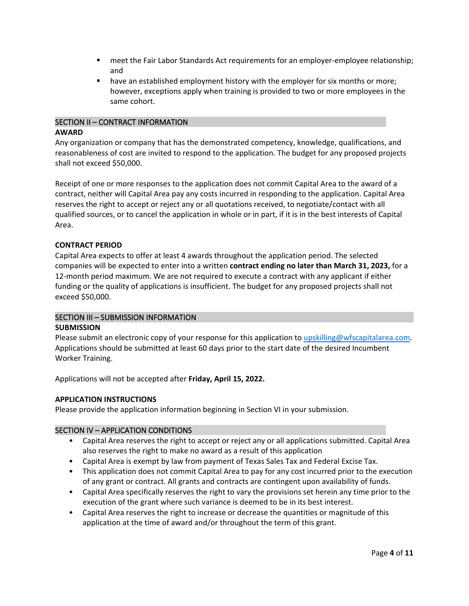- **EXECT** meet the Fair Labor Standards Act requirements for an employer-employee relationship; and
- have an established employment history with the employer for six months or more; however, exceptions apply when training is provided to two or more employees in the same cohort.

# <span id="page-3-0"></span>SECTION II – CONTRACT INFORMATION **AWARD**

Any organization or company that has the demonstrated competency, knowledge, qualifications, and reasonableness of cost are invited to respond to the application. The budget for any proposed projects shall not exceed \$50,000.

Receipt of one or more responses to the application does not commit Capital Area to the award of a contract, neither will Capital Area pay any costs incurred in responding to the application. Capital Area reserves the right to accept or reject any or all quotations received, to negotiate/contact with all qualified sources, or to cancel the application in whole or in part, if it is in the best interests of Capital Area.

# **CONTRACT PERIOD**

Capital Area expects to offer at least 4 awards throughout the application period. The selected companies will be expected to enter into a written **contract ending no later than March 31, 2023,** for a 12-month period maximum. We are not required to execute a contract with any applicant if either funding or the quality of applications is insufficient. The budget for any proposed projects shall not exceed \$50,000.

#### <span id="page-3-1"></span>SECTION III – SUBMISSION INFORMATION

#### **SUBMISSION**

Please submit an electronic copy of your response for this application t[o upskilling@wfscapitalarea.com.](mailto:upskilling@wfscapitalarea.com) Applications should be submitted at least 60 days prior to the start date of the desired Incumbent Worker Training.

Applications will not be accepted after **Friday, April 15, 2022.**

#### **APPLICATION INSTRUCTIONS**

Please provide the application information beginning in Section VI in your submission.

#### <span id="page-3-2"></span>SECTION IV – APPLICATION CONDITIONS

- Capital Area reserves the right to accept or reject any or all applications submitted. Capital Area also reserves the right to make no award as a result of this application
- Capital Area is exempt by law from payment of Texas Sales Tax and Federal Excise Tax.
- This application does not commit Capital Area to pay for any cost incurred prior to the execution of any grant or contract. All grants and contracts are contingent upon availability of funds.
- Capital Area specifically reserves the right to vary the provisions set herein any time prior to the execution of the grant where such variance is deemed to be in its best interest.
- Capital Area reserves the right to increase or decrease the quantities or magnitude of this application at the time of award and/or throughout the term of this grant.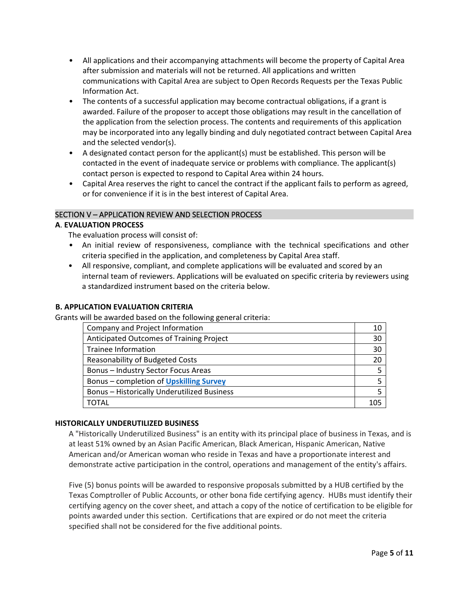- All applications and their accompanying attachments will become the property of Capital Area after submission and materials will not be returned. All applications and written communications with Capital Area are subject to Open Records Requests per the Texas Public Information Act.
- The contents of a successful application may become contractual obligations, if a grant is awarded. Failure of the proposer to accept those obligations may result in the cancellation of the application from the selection process. The contents and requirements of this application may be incorporated into any legally binding and duly negotiated contract between Capital Area and the selected vendor(s).
- A designated contact person for the applicant(s) must be established. This person will be contacted in the event of inadequate service or problems with compliance. The applicant(s) contact person is expected to respond to Capital Area within 24 hours.
- Capital Area reserves the right to cancel the contract if the applicant fails to perform as agreed, or for convenience if it is in the best interest of Capital Area.

# <span id="page-4-0"></span>SECTION V – APPLICATION REVIEW AND SELECTION PROCESS

#### **A**. **EVALUATION PROCESS**

The evaluation process will consist of:

- An initial review of responsiveness, compliance with the technical specifications and other criteria specified in the application, and completeness by Capital Area staff.
- All responsive, compliant, and complete applications will be evaluated and scored by an internal team of reviewers. Applications will be evaluated on specific criteria by reviewers using a standardized instrument based on the criteria below.

## **B. APPLICATION EVALUATION CRITERIA**

Grants will be awarded based on the following general criteria:

| Company and Project Information                    | 10  |
|----------------------------------------------------|-----|
| Anticipated Outcomes of Training Project           | 30  |
| Trainee Information                                | 30  |
| <b>Reasonability of Budgeted Costs</b>             | 20  |
| <b>Bonus - Industry Sector Focus Areas</b>         |     |
| Bonus – completion of Upskilling Survey            |     |
| <b>Bonus - Historically Underutilized Business</b> |     |
| <b>TOTAL</b>                                       | 105 |

#### **HISTORICALLY UNDERUTILIZED BUSINESS**

A "Historically Underutilized Business" is an entity with its principal place of business in Texas, and is at least 51% owned by an Asian Pacific American, Black American, Hispanic American, Native American and/or American woman who reside in Texas and have a proportionate interest and demonstrate active participation in the control, operations and management of the entity's affairs.

Five (5) bonus points will be awarded to responsive proposals submitted by a HUB certified by the Texas Comptroller of Public Accounts, or other bona fide certifying agency. HUBs must identify their certifying agency on the cover sheet, and attach a copy of the notice of certification to be eligible for points awarded under this section. Certifications that are expired or do not meet the criteria specified shall not be considered for the five additional points.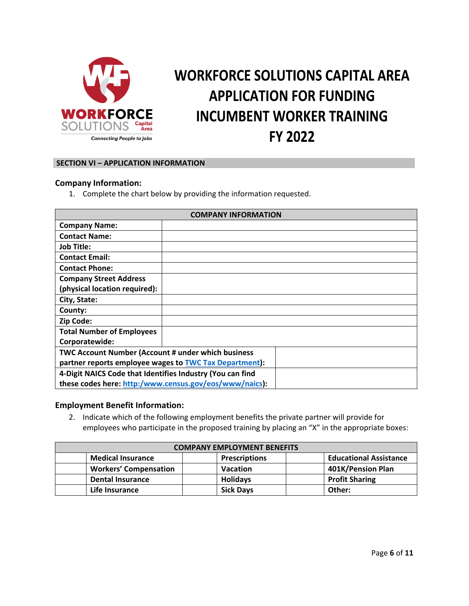

# **WORKFORCE SOLUTIONS CAPITAL AREA APPLICATION FOR FUNDING INCUMBENT WORKER TRAINING FY 2022**

#### <span id="page-5-0"></span>**SECTION VI – APPLICATION INFORMATION**

#### **Company Information:**

1. Complete the chart below by providing the information requested.

| <b>COMPANY INFORMATION</b>                                |  |  |  |  |  |
|-----------------------------------------------------------|--|--|--|--|--|
| <b>Company Name:</b>                                      |  |  |  |  |  |
| <b>Contact Name:</b>                                      |  |  |  |  |  |
| <b>Job Title:</b>                                         |  |  |  |  |  |
| <b>Contact Email:</b>                                     |  |  |  |  |  |
| <b>Contact Phone:</b>                                     |  |  |  |  |  |
| <b>Company Street Address</b>                             |  |  |  |  |  |
| (physical location required):                             |  |  |  |  |  |
| City, State:                                              |  |  |  |  |  |
| County:                                                   |  |  |  |  |  |
| Zip Code:                                                 |  |  |  |  |  |
| <b>Total Number of Employees</b>                          |  |  |  |  |  |
| Corporatewide:                                            |  |  |  |  |  |
| <b>TWC Account Number (Account # under which business</b> |  |  |  |  |  |
| partner reports employee wages to TWC Tax Department):    |  |  |  |  |  |
| 4-Digit NAICS Code that Identifies Industry (You can find |  |  |  |  |  |
| these codes here: http:/www.census.gov/eos/www/naics):    |  |  |  |  |  |

### **Employment Benefit Information:**

2. Indicate which of the following employment benefits the private partner will provide for employees who participate in the proposed training by placing an "X" in the appropriate boxes:

| <b>COMPANY EMPLOYMENT BENEFITS</b> |                              |  |                      |  |                               |
|------------------------------------|------------------------------|--|----------------------|--|-------------------------------|
|                                    | <b>Medical Insurance</b>     |  | <b>Prescriptions</b> |  | <b>Educational Assistance</b> |
|                                    | <b>Workers' Compensation</b> |  | <b>Vacation</b>      |  | 401K/Pension Plan             |
|                                    | <b>Dental Insurance</b>      |  | <b>Holidays</b>      |  | <b>Profit Sharing</b>         |
|                                    | Life Insurance               |  | <b>Sick Days</b>     |  | Other:                        |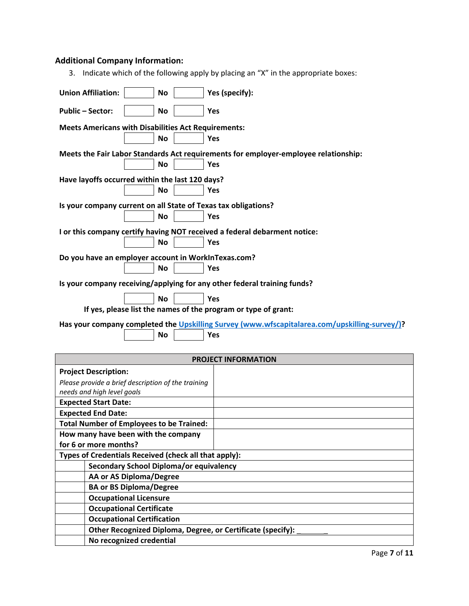# **Additional Company Information:**

**AA or AS Diploma/Degree BA or BS Diploma/Degree Occupational Licensure Occupational Certificate Occupational Certification**

**No recognized credential**

**Other Recognized Diploma, Degree, or Certificate (specify):** 

| Indicate which of the following apply by placing an "X" in the appropriate boxes:<br>3.       |  |  |  |  |  |  |  |
|-----------------------------------------------------------------------------------------------|--|--|--|--|--|--|--|
| <b>Union Affiliation:</b><br>Yes (specify):<br><b>No</b>                                      |  |  |  |  |  |  |  |
| <b>Public-Sector:</b><br>No<br>Yes                                                            |  |  |  |  |  |  |  |
| <b>Meets Americans with Disabilities Act Requirements:</b>                                    |  |  |  |  |  |  |  |
| No<br>Yes                                                                                     |  |  |  |  |  |  |  |
| Meets the Fair Labor Standards Act requirements for employer-employee relationship:           |  |  |  |  |  |  |  |
| <b>No</b><br>Yes                                                                              |  |  |  |  |  |  |  |
| Have layoffs occurred within the last 120 days?                                               |  |  |  |  |  |  |  |
| <b>No</b><br>Yes                                                                              |  |  |  |  |  |  |  |
| Is your company current on all State of Texas tax obligations?                                |  |  |  |  |  |  |  |
| <b>No</b><br>Yes                                                                              |  |  |  |  |  |  |  |
| I or this company certify having NOT received a federal debarment notice:                     |  |  |  |  |  |  |  |
| <b>No</b><br>Yes                                                                              |  |  |  |  |  |  |  |
| Do you have an employer account in WorkInTexas.com?                                           |  |  |  |  |  |  |  |
| <b>No</b><br>Yes                                                                              |  |  |  |  |  |  |  |
| Is your company receiving/applying for any other federal training funds?                      |  |  |  |  |  |  |  |
| Yes<br><b>No</b>                                                                              |  |  |  |  |  |  |  |
| If yes, please list the names of the program or type of grant:                                |  |  |  |  |  |  |  |
| Has your company completed the Upskilling Survey (www.wfscapitalarea.com/upskilling-survey/)? |  |  |  |  |  |  |  |
| <b>No</b><br>Yes                                                                              |  |  |  |  |  |  |  |
|                                                                                               |  |  |  |  |  |  |  |
| <b>PROJECT INFORMATION</b>                                                                    |  |  |  |  |  |  |  |
| <b>Project Description:</b>                                                                   |  |  |  |  |  |  |  |
| Please provide a brief description of the training<br>needs and high level goals              |  |  |  |  |  |  |  |
| <b>Expected Start Date:</b>                                                                   |  |  |  |  |  |  |  |
| <b>Expected End Date:</b>                                                                     |  |  |  |  |  |  |  |
| <b>Total Number of Employees to be Trained:</b>                                               |  |  |  |  |  |  |  |
| How many have been with the company                                                           |  |  |  |  |  |  |  |
| for 6 or more months?                                                                         |  |  |  |  |  |  |  |
| Types of Credentials Received (check all that apply):                                         |  |  |  |  |  |  |  |
| Secondary School Diploma/or equivalency                                                       |  |  |  |  |  |  |  |

Page **7** of **11**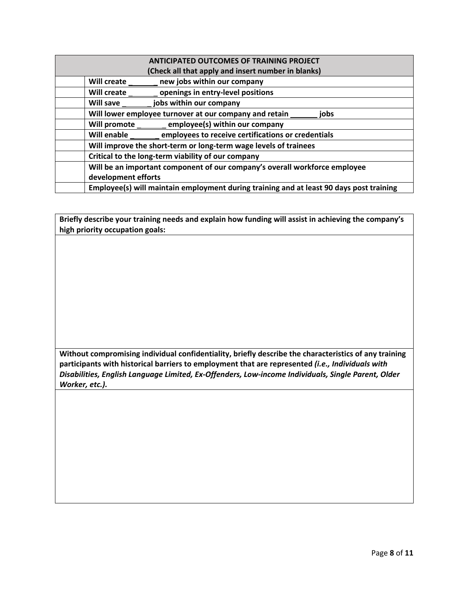| <b>ANTICIPATED OUTCOMES OF TRAINING PROJECT</b>                                         |  |
|-----------------------------------------------------------------------------------------|--|
| (Check all that apply and insert number in blanks)                                      |  |
| <b>Will create</b><br>new jobs within our company                                       |  |
| openings in entry-level positions<br>Will create                                        |  |
| jobs within our company<br><b>Will save</b>                                             |  |
| Will lower employee turnover at our company and retain _____<br>iobs                    |  |
| Will promote employee(s) within our company                                             |  |
| Will enable employees to receive certifications or credentials                          |  |
| Will improve the short-term or long-term wage levels of trainees                        |  |
| Critical to the long-term viability of our company                                      |  |
| Will be an important component of our company's overall workforce employee              |  |
| development efforts                                                                     |  |
| Employee(s) will maintain employment during training and at least 90 days post training |  |

**Briefly describe your training needs and explain how funding will assist in achieving the company's high priority occupation goals:**

**Without compromising individual confidentiality, briefly describe the characteristics of any training participants with historical barriers to employment that are represented** *(i.e., Individuals with Disabilities, English Language Limited, Ex-Offenders, Low-income Individuals, Single Parent, Older Worker, etc.).*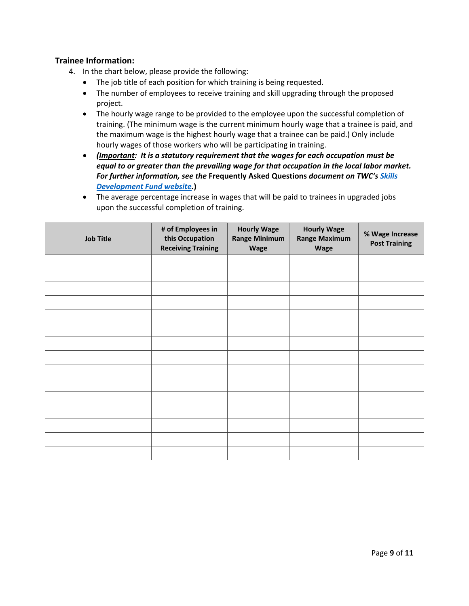# **Trainee Information:**

- 4. In the chart below, please provide the following:
	- The job title of each position for which training is being requested.
	- The number of employees to receive training and skill upgrading through the proposed project.
	- The hourly wage range to be provided to the employee upon the successful completion of training. (The minimum wage is the current minimum hourly wage that a trainee is paid, and the maximum wage is the highest hourly wage that a trainee can be paid.) Only include hourly wages of those workers who will be participating in training.
	- *(Important: It is a statutory requirement that the wages for each occupation must be equal to or greater than the prevailing wage for that occupation in the local labor market. For further information, see the* **Frequently Asked Questions** *document on TWC's [Skills](http://www.twc.state.tx.us/partners/skills-development-fund-training-providers-workforce-development-partners)  [Development Fund website.](http://www.twc.state.tx.us/partners/skills-development-fund-training-providers-workforce-development-partners)***)**
	- The average percentage increase in wages that will be paid to trainees in upgraded jobs upon the successful completion of training.

| <b>Job Title</b> | # of Employees in<br>this Occupation<br><b>Receiving Training</b> | <b>Hourly Wage</b><br><b>Range Minimum</b><br>Wage | <b>Hourly Wage</b><br><b>Range Maximum</b><br><b>Wage</b> | % Wage Increase<br><b>Post Training</b> |
|------------------|-------------------------------------------------------------------|----------------------------------------------------|-----------------------------------------------------------|-----------------------------------------|
|                  |                                                                   |                                                    |                                                           |                                         |
|                  |                                                                   |                                                    |                                                           |                                         |
|                  |                                                                   |                                                    |                                                           |                                         |
|                  |                                                                   |                                                    |                                                           |                                         |
|                  |                                                                   |                                                    |                                                           |                                         |
|                  |                                                                   |                                                    |                                                           |                                         |
|                  |                                                                   |                                                    |                                                           |                                         |
|                  |                                                                   |                                                    |                                                           |                                         |
|                  |                                                                   |                                                    |                                                           |                                         |
|                  |                                                                   |                                                    |                                                           |                                         |
|                  |                                                                   |                                                    |                                                           |                                         |
|                  |                                                                   |                                                    |                                                           |                                         |
|                  |                                                                   |                                                    |                                                           |                                         |
|                  |                                                                   |                                                    |                                                           |                                         |
|                  |                                                                   |                                                    |                                                           |                                         |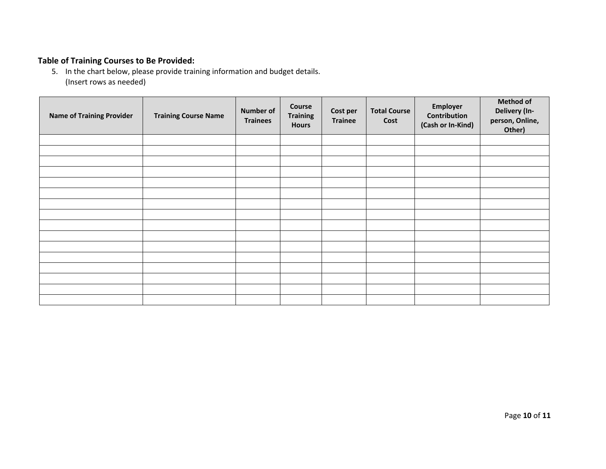# **Table of Training Courses to Be Provided:**

5. In the chart below, please provide training information and budget details. (Insert rows as needed)

| <b>Name of Training Provider</b> | <b>Training Course Name</b> | <b>Number of</b><br><b>Trainees</b> | <b>Course</b><br><b>Training</b><br><b>Hours</b> | Cost per<br><b>Trainee</b> | <b>Total Course</b><br>Cost | Employer<br>Contribution<br>(Cash or In-Kind) | <b>Method of</b><br>Delivery (In-<br>person, Online,<br>Other) |
|----------------------------------|-----------------------------|-------------------------------------|--------------------------------------------------|----------------------------|-----------------------------|-----------------------------------------------|----------------------------------------------------------------|
|                                  |                             |                                     |                                                  |                            |                             |                                               |                                                                |
|                                  |                             |                                     |                                                  |                            |                             |                                               |                                                                |
|                                  |                             |                                     |                                                  |                            |                             |                                               |                                                                |
|                                  |                             |                                     |                                                  |                            |                             |                                               |                                                                |
|                                  |                             |                                     |                                                  |                            |                             |                                               |                                                                |
|                                  |                             |                                     |                                                  |                            |                             |                                               |                                                                |
|                                  |                             |                                     |                                                  |                            |                             |                                               |                                                                |
|                                  |                             |                                     |                                                  |                            |                             |                                               |                                                                |
|                                  |                             |                                     |                                                  |                            |                             |                                               |                                                                |
|                                  |                             |                                     |                                                  |                            |                             |                                               |                                                                |
|                                  |                             |                                     |                                                  |                            |                             |                                               |                                                                |
|                                  |                             |                                     |                                                  |                            |                             |                                               |                                                                |
|                                  |                             |                                     |                                                  |                            |                             |                                               |                                                                |
|                                  |                             |                                     |                                                  |                            |                             |                                               |                                                                |
|                                  |                             |                                     |                                                  |                            |                             |                                               |                                                                |
|                                  |                             |                                     |                                                  |                            |                             |                                               |                                                                |